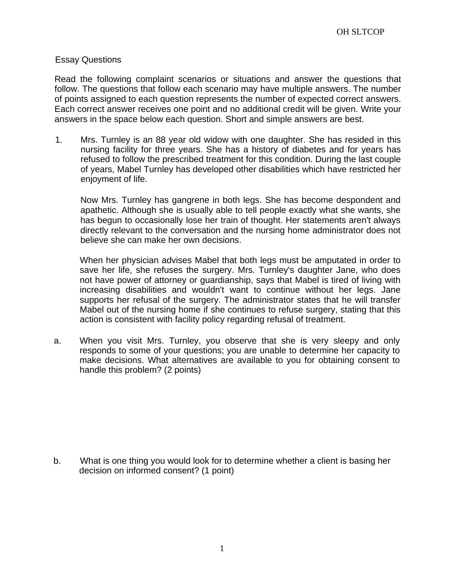## Essay Questions

Read the following complaint scenarios or situations and answer the questions that follow. The questions that follow each scenario may have multiple answers. The number of points assigned to each question represents the number of expected correct answers. Each correct answer receives one point and no additional credit will be given. Write your answers in the space below each question. Short and simple answers are best.

1. Mrs. Turnley is an 88 year old widow with one daughter. She has resided in this nursing facility for three years. She has a history of diabetes and for years has refused to follow the prescribed treatment for this condition. During the last couple of years, Mabel Turnley has developed other disabilities which have restricted her enjoyment of life.

Now Mrs. Turnley has gangrene in both legs. She has become despondent and apathetic. Although she is usually able to tell people exactly what she wants, she has begun to occasionally lose her train of thought. Her statements aren't always directly relevant to the conversation and the nursing home administrator does not believe she can make her own decisions.

When her physician advises Mabel that both legs must be amputated in order to save her life, she refuses the surgery. Mrs. Turnley's daughter Jane, who does not have power of attorney or guardianship, says that Mabel is tired of living with increasing disabilities and wouldn't want to continue without her legs. Jane supports her refusal of the surgery. The administrator states that he will transfer Mabel out of the nursing home if she continues to refuse surgery, stating that this action is consistent with facility policy regarding refusal of treatment.

a. When you visit Mrs. Turnley, you observe that she is very sleepy and only responds to some of your questions; you are unable to determine her capacity to make decisions. What alternatives are available to you for obtaining consent to handle this problem? (2 points)

b. What is one thing you would look for to determine whether a client is basing her decision on informed consent? (1 point)